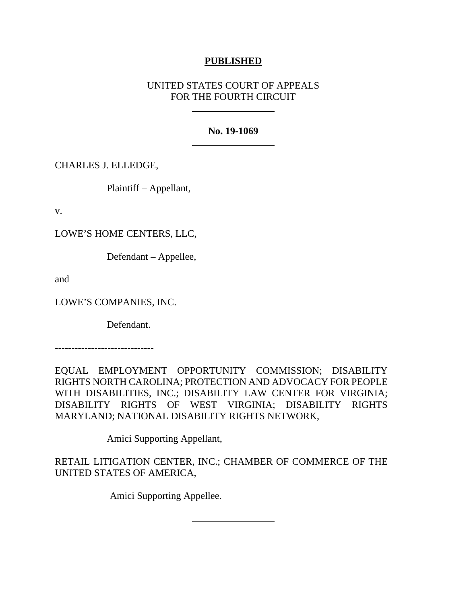# **PUBLISHED**

# UNITED STATES COURT OF APPEALS FOR THE FOURTH CIRCUIT

## **No. 19-1069**

CHARLES J. ELLEDGE,

Plaintiff – Appellant,

v.

LOWE'S HOME CENTERS, LLC,

Defendant – Appellee,

and

LOWE'S COMPANIES, INC.

Defendant.

------------------------------

EQUAL EMPLOYMENT OPPORTUNITY COMMISSION; DISABILITY RIGHTS NORTH CAROLINA; PROTECTION AND ADVOCACY FOR PEOPLE WITH DISABILITIES, INC.; DISABILITY LAW CENTER FOR VIRGINIA; DISABILITY RIGHTS OF WEST VIRGINIA; DISABILITY RIGHTS MARYLAND; NATIONAL DISABILITY RIGHTS NETWORK,

Amici Supporting Appellant,

RETAIL LITIGATION CENTER, INC.; CHAMBER OF COMMERCE OF THE UNITED STATES OF AMERICA,

Amici Supporting Appellee.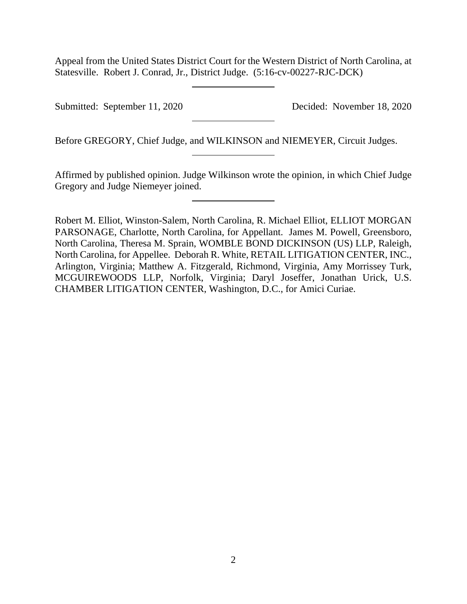Appeal from the United States District Court for the Western District of North Carolina, at Statesville. Robert J. Conrad, Jr., District Judge. (5:16-cv-00227-RJC-DCK)

Submitted: September 11, 2020 Decided: November 18, 2020

Before GREGORY, Chief Judge, and WILKINSON and NIEMEYER, Circuit Judges.

Affirmed by published opinion. Judge Wilkinson wrote the opinion, in which Chief Judge Gregory and Judge Niemeyer joined.

Robert M. Elliot, Winston-Salem, North Carolina, R. Michael Elliot, ELLIOT MORGAN PARSONAGE, Charlotte, North Carolina, for Appellant. James M. Powell, Greensboro, North Carolina, Theresa M. Sprain, WOMBLE BOND DICKINSON (US) LLP, Raleigh, North Carolina, for Appellee. Deborah R. White, RETAIL LITIGATION CENTER, INC., Arlington, Virginia; Matthew A. Fitzgerald, Richmond, Virginia, Amy Morrissey Turk, MCGUIREWOODS LLP, Norfolk, Virginia; Daryl Joseffer, Jonathan Urick, U.S. CHAMBER LITIGATION CENTER, Washington, D.C., for Amici Curiae.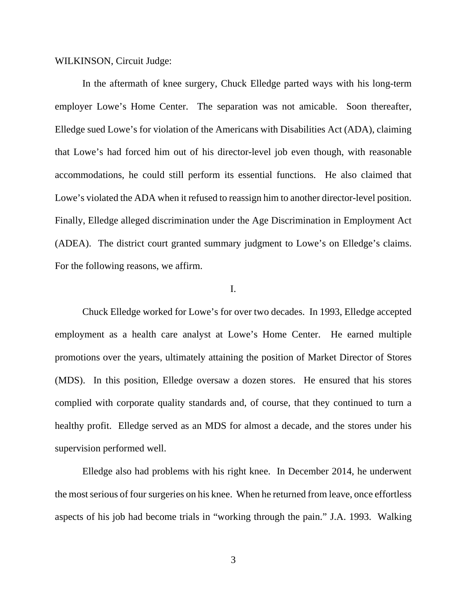WILKINSON, Circuit Judge:

In the aftermath of knee surgery, Chuck Elledge parted ways with his long-term employer Lowe's Home Center. The separation was not amicable. Soon thereafter, Elledge sued Lowe's for violation of the Americans with Disabilities Act (ADA), claiming that Lowe's had forced him out of his director-level job even though, with reasonable accommodations, he could still perform its essential functions. He also claimed that Lowe's violated the ADA when it refused to reassign him to another director-level position. Finally, Elledge alleged discrimination under the Age Discrimination in Employment Act (ADEA). The district court granted summary judgment to Lowe's on Elledge's claims. For the following reasons, we affirm.

#### I.

Chuck Elledge worked for Lowe's for over two decades. In 1993, Elledge accepted employment as a health care analyst at Lowe's Home Center. He earned multiple promotions over the years, ultimately attaining the position of Market Director of Stores (MDS). In this position, Elledge oversaw a dozen stores. He ensured that his stores complied with corporate quality standards and, of course, that they continued to turn a healthy profit. Elledge served as an MDS for almost a decade, and the stores under his supervision performed well.

Elledge also had problems with his right knee. In December 2014, he underwent the most serious of four surgeries on his knee. When he returned from leave, once effortless aspects of his job had become trials in "working through the pain." J.A. 1993. Walking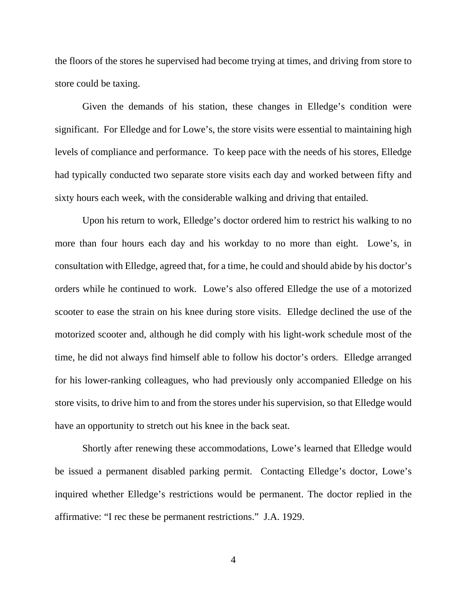the floors of the stores he supervised had become trying at times, and driving from store to store could be taxing.

Given the demands of his station, these changes in Elledge's condition were significant. For Elledge and for Lowe's, the store visits were essential to maintaining high levels of compliance and performance. To keep pace with the needs of his stores, Elledge had typically conducted two separate store visits each day and worked between fifty and sixty hours each week, with the considerable walking and driving that entailed.

Upon his return to work, Elledge's doctor ordered him to restrict his walking to no more than four hours each day and his workday to no more than eight. Lowe's, in consultation with Elledge, agreed that, for a time, he could and should abide by his doctor's orders while he continued to work. Lowe's also offered Elledge the use of a motorized scooter to ease the strain on his knee during store visits. Elledge declined the use of the motorized scooter and, although he did comply with his light-work schedule most of the time, he did not always find himself able to follow his doctor's orders. Elledge arranged for his lower-ranking colleagues, who had previously only accompanied Elledge on his store visits, to drive him to and from the stores under his supervision, so that Elledge would have an opportunity to stretch out his knee in the back seat.

Shortly after renewing these accommodations, Lowe's learned that Elledge would be issued a permanent disabled parking permit. Contacting Elledge's doctor, Lowe's inquired whether Elledge's restrictions would be permanent. The doctor replied in the affirmative: "I rec these be permanent restrictions." J.A. 1929.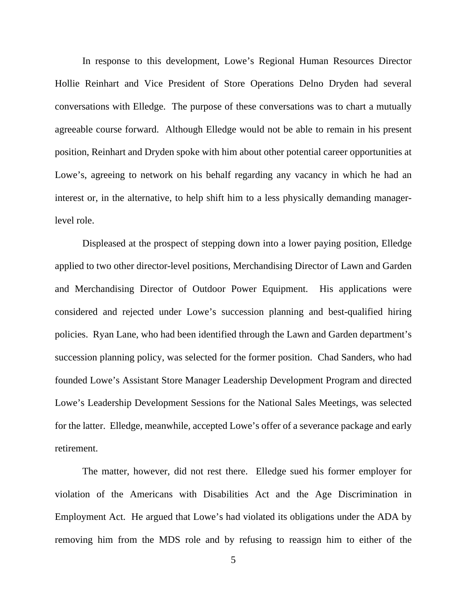In response to this development, Lowe's Regional Human Resources Director Hollie Reinhart and Vice President of Store Operations Delno Dryden had several conversations with Elledge. The purpose of these conversations was to chart a mutually agreeable course forward. Although Elledge would not be able to remain in his present position, Reinhart and Dryden spoke with him about other potential career opportunities at Lowe's, agreeing to network on his behalf regarding any vacancy in which he had an interest or, in the alternative, to help shift him to a less physically demanding managerlevel role.

Displeased at the prospect of stepping down into a lower paying position, Elledge applied to two other director-level positions, Merchandising Director of Lawn and Garden and Merchandising Director of Outdoor Power Equipment. His applications were considered and rejected under Lowe's succession planning and best-qualified hiring policies. Ryan Lane, who had been identified through the Lawn and Garden department's succession planning policy, was selected for the former position. Chad Sanders, who had founded Lowe's Assistant Store Manager Leadership Development Program and directed Lowe's Leadership Development Sessions for the National Sales Meetings, was selected for the latter. Elledge, meanwhile, accepted Lowe's offer of a severance package and early retirement.

The matter, however, did not rest there. Elledge sued his former employer for violation of the Americans with Disabilities Act and the Age Discrimination in Employment Act. He argued that Lowe's had violated its obligations under the ADA by removing him from the MDS role and by refusing to reassign him to either of the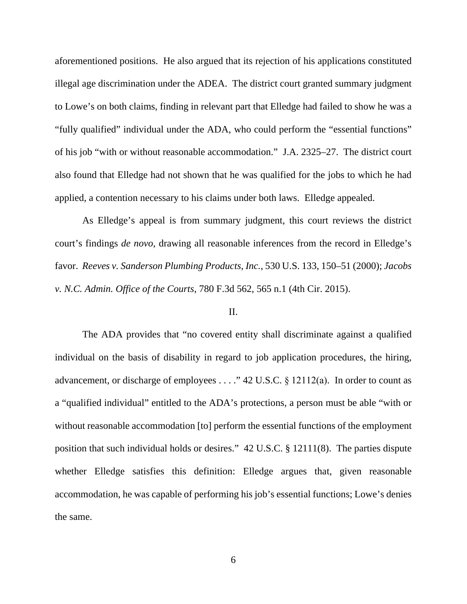aforementioned positions. He also argued that its rejection of his applications constituted illegal age discrimination under the ADEA. The district court granted summary judgment to Lowe's on both claims, finding in relevant part that Elledge had failed to show he was a "fully qualified" individual under the ADA, who could perform the "essential functions" of his job "with or without reasonable accommodation." J.A. 2325–27. The district court also found that Elledge had not shown that he was qualified for the jobs to which he had applied, a contention necessary to his claims under both laws. Elledge appealed.

As Elledge's appeal is from summary judgment, this court reviews the district court's findings *de novo*, drawing all reasonable inferences from the record in Elledge's favor. *Reeves v. Sanderson Plumbing Products, Inc.*, 530 U.S. 133, 150–51 (2000); *Jacobs v. N.C. Admin. Office of the Courts*, 780 F.3d 562, 565 n.1 (4th Cir. 2015).

### II.

The ADA provides that "no covered entity shall discriminate against a qualified individual on the basis of disability in regard to job application procedures, the hiring, advancement, or discharge of employees . . . ." 42 U.S.C. § 12112(a). In order to count as a "qualified individual" entitled to the ADA's protections, a person must be able "with or without reasonable accommodation [to] perform the essential functions of the employment position that such individual holds or desires." 42 U.S.C. § 12111(8). The parties dispute whether Elledge satisfies this definition: Elledge argues that, given reasonable accommodation, he was capable of performing his job's essential functions; Lowe's denies the same.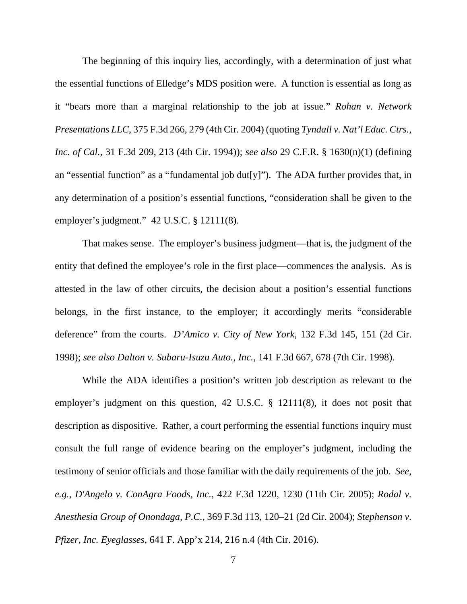The beginning of this inquiry lies, accordingly, with a determination of just what the essential functions of Elledge's MDS position were. A function is essential as long as it "bears more than a marginal relationship to the job at issue." *Rohan v. Network Presentations LLC*, 375 F.3d 266, 279 (4th Cir. 2004) (quoting *Tyndall v. Nat'l Educ. Ctrs., Inc. of Cal.*, 31 F.3d 209, 213 (4th Cir. 1994)); *see also* 29 C.F.R. § 1630(n)(1) (defining an "essential function" as a "fundamental job dut[y]"). The ADA further provides that, in any determination of a position's essential functions, "consideration shall be given to the employer's judgment." 42 U.S.C. § 12111(8).

That makes sense. The employer's business judgment—that is, the judgment of the entity that defined the employee's role in the first place—commences the analysis. As is attested in the law of other circuits, the decision about a position's essential functions belongs, in the first instance, to the employer; it accordingly merits "considerable deference" from the courts. *D'Amico v. City of New York*, 132 F.3d 145, 151 (2d Cir. 1998); *see also Dalton v. Subaru-Isuzu Auto., Inc.*, 141 F.3d 667, 678 (7th Cir. 1998).

While the ADA identifies a position's written job description as relevant to the employer's judgment on this question, 42 U.S.C. § 12111(8), it does not posit that description as dispositive. Rather, a court performing the essential functions inquiry must consult the full range of evidence bearing on the employer's judgment, including the testimony of senior officials and those familiar with the daily requirements of the job. *See, e.g.*, *D'Angelo v. ConAgra Foods, Inc.*, 422 F.3d 1220, 1230 (11th Cir. 2005); *Rodal v. Anesthesia Group of Onondaga, P.C.*, 369 F.3d 113, 120–21 (2d Cir. 2004); *Stephenson v. Pfizer, Inc. Eyeglasses*, 641 F. App'x 214, 216 n.4 (4th Cir. 2016).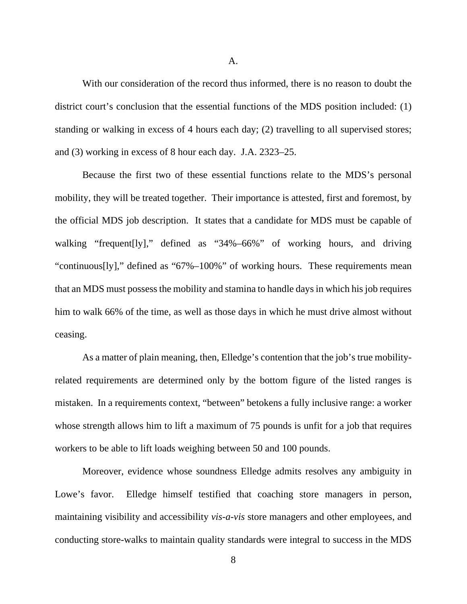A.

With our consideration of the record thus informed, there is no reason to doubt the district court's conclusion that the essential functions of the MDS position included: (1) standing or walking in excess of 4 hours each day; (2) travelling to all supervised stores; and (3) working in excess of 8 hour each day. J.A. 2323–25.

Because the first two of these essential functions relate to the MDS's personal mobility, they will be treated together. Their importance is attested, first and foremost, by the official MDS job description. It states that a candidate for MDS must be capable of walking "frequent[ly]," defined as "34%–66%" of working hours, and driving "continuous[ly]," defined as "67%–100%" of working hours. These requirements mean that an MDS must possess the mobility and stamina to handle days in which his job requires him to walk 66% of the time, as well as those days in which he must drive almost without ceasing.

As a matter of plain meaning, then, Elledge's contention that the job's true mobilityrelated requirements are determined only by the bottom figure of the listed ranges is mistaken. In a requirements context, "between" betokens a fully inclusive range: a worker whose strength allows him to lift a maximum of 75 pounds is unfit for a job that requires workers to be able to lift loads weighing between 50 and 100 pounds.

Moreover, evidence whose soundness Elledge admits resolves any ambiguity in Lowe's favor. Elledge himself testified that coaching store managers in person, maintaining visibility and accessibility *vis-a-vis* store managers and other employees, and conducting store-walks to maintain quality standards were integral to success in the MDS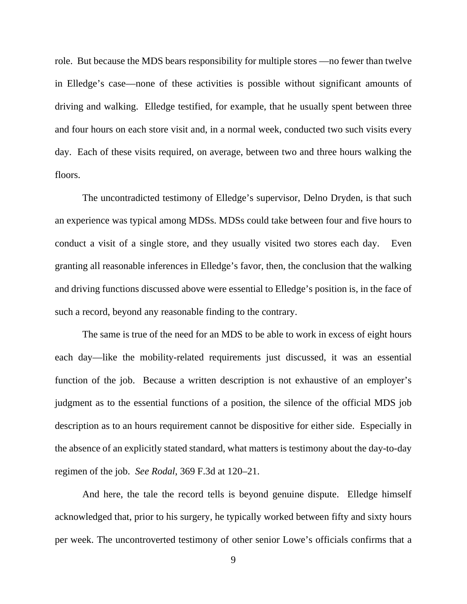role. But because the MDS bears responsibility for multiple stores —no fewer than twelve in Elledge's case—none of these activities is possible without significant amounts of driving and walking. Elledge testified, for example, that he usually spent between three and four hours on each store visit and, in a normal week, conducted two such visits every day. Each of these visits required, on average, between two and three hours walking the floors.

The uncontradicted testimony of Elledge's supervisor, Delno Dryden, is that such an experience was typical among MDSs. MDSs could take between four and five hours to conduct a visit of a single store, and they usually visited two stores each day. Even granting all reasonable inferences in Elledge's favor, then, the conclusion that the walking and driving functions discussed above were essential to Elledge's position is, in the face of such a record, beyond any reasonable finding to the contrary.

The same is true of the need for an MDS to be able to work in excess of eight hours each day—like the mobility-related requirements just discussed, it was an essential function of the job. Because a written description is not exhaustive of an employer's judgment as to the essential functions of a position, the silence of the official MDS job description as to an hours requirement cannot be dispositive for either side. Especially in the absence of an explicitly stated standard, what matters is testimony about the day-to-day regimen of the job. *See Rodal*, 369 F.3d at 120–21.

And here, the tale the record tells is beyond genuine dispute. Elledge himself acknowledged that, prior to his surgery, he typically worked between fifty and sixty hours per week. The uncontroverted testimony of other senior Lowe's officials confirms that a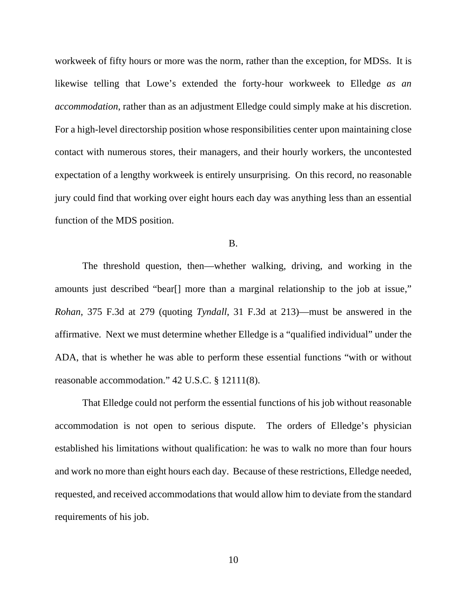workweek of fifty hours or more was the norm, rather than the exception, for MDSs. It is likewise telling that Lowe's extended the forty-hour workweek to Elledge *as an accommodation*, rather than as an adjustment Elledge could simply make at his discretion. For a high-level directorship position whose responsibilities center upon maintaining close contact with numerous stores, their managers, and their hourly workers, the uncontested expectation of a lengthy workweek is entirely unsurprising. On this record, no reasonable jury could find that working over eight hours each day was anything less than an essential function of the MDS position.

B.

The threshold question, then—whether walking, driving, and working in the amounts just described "bear[] more than a marginal relationship to the job at issue," *Rohan*, 375 F.3d at 279 (quoting *Tyndall*, 31 F.3d at 213)—must be answered in the affirmative. Next we must determine whether Elledge is a "qualified individual" under the ADA, that is whether he was able to perform these essential functions "with or without reasonable accommodation." 42 U.S.C. § 12111(8).

That Elledge could not perform the essential functions of his job without reasonable accommodation is not open to serious dispute. The orders of Elledge's physician established his limitations without qualification: he was to walk no more than four hours and work no more than eight hours each day. Because of these restrictions, Elledge needed, requested, and received accommodations that would allow him to deviate from the standard requirements of his job.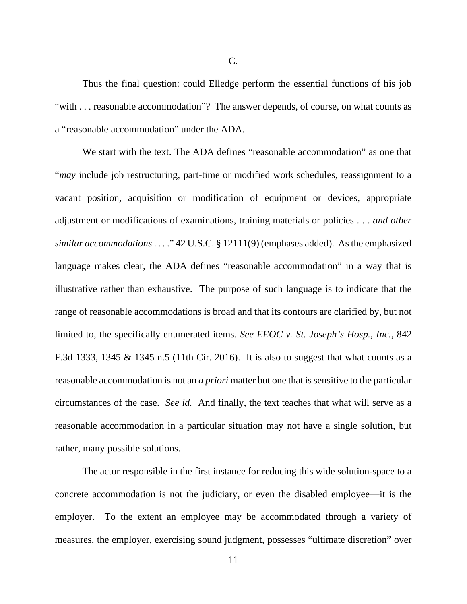Thus the final question: could Elledge perform the essential functions of his job "with . . . reasonable accommodation"? The answer depends, of course, on what counts as a "reasonable accommodation" under the ADA.

We start with the text. The ADA defines "reasonable accommodation" as one that "*may* include job restructuring, part-time or modified work schedules, reassignment to a vacant position, acquisition or modification of equipment or devices, appropriate adjustment or modifications of examinations, training materials or policies . . . *and other similar accommodations*. . . ." 42 U.S.C. § 12111(9) (emphases added). As the emphasized language makes clear, the ADA defines "reasonable accommodation" in a way that is illustrative rather than exhaustive. The purpose of such language is to indicate that the range of reasonable accommodations is broad and that its contours are clarified by, but not limited to, the specifically enumerated items. *See EEOC v. St. Joseph's Hosp., Inc.*, 842 F.3d 1333, 1345 & 1345 n.5 (11th Cir. 2016). It is also to suggest that what counts as a reasonable accommodation is not an *a priori* matter but one that is sensitive to the particular circumstances of the case. *See id.* And finally, the text teaches that what will serve as a reasonable accommodation in a particular situation may not have a single solution, but rather, many possible solutions.

The actor responsible in the first instance for reducing this wide solution-space to a concrete accommodation is not the judiciary, or even the disabled employee—it is the employer. To the extent an employee may be accommodated through a variety of measures, the employer, exercising sound judgment, possesses "ultimate discretion" over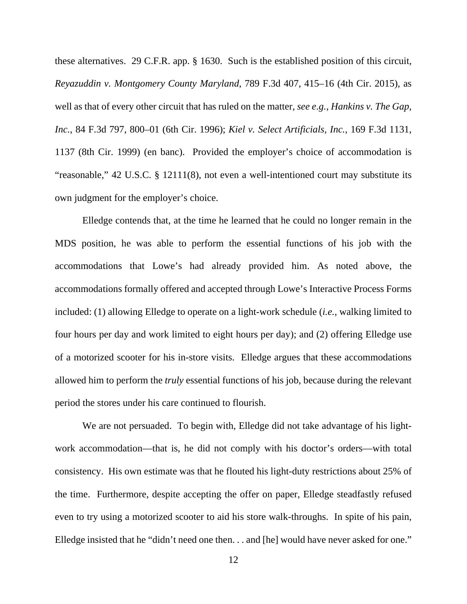these alternatives. 29 C.F.R. app. § 1630. Such is the established position of this circuit, *Reyazuddin v. Montgomery County Maryland*, 789 F.3d 407, 415–16 (4th Cir. 2015), as well as that of every other circuit that has ruled on the matter, *see e.g.*, *Hankins v. The Gap, Inc.*, 84 F.3d 797, 800–01 (6th Cir. 1996); *Kiel v. Select Artificials, Inc.*, 169 F.3d 1131, 1137 (8th Cir. 1999) (en banc). Provided the employer's choice of accommodation is "reasonable," 42 U.S.C. § 12111(8), not even a well-intentioned court may substitute its own judgment for the employer's choice.

Elledge contends that, at the time he learned that he could no longer remain in the MDS position, he was able to perform the essential functions of his job with the accommodations that Lowe's had already provided him. As noted above, the accommodations formally offered and accepted through Lowe's Interactive Process Forms included: (1) allowing Elledge to operate on a light-work schedule (*i.e.*, walking limited to four hours per day and work limited to eight hours per day); and (2) offering Elledge use of a motorized scooter for his in-store visits. Elledge argues that these accommodations allowed him to perform the *truly* essential functions of his job, because during the relevant period the stores under his care continued to flourish.

We are not persuaded. To begin with, Elledge did not take advantage of his lightwork accommodation—that is, he did not comply with his doctor's orders—with total consistency. His own estimate was that he flouted his light-duty restrictions about 25% of the time. Furthermore, despite accepting the offer on paper, Elledge steadfastly refused even to try using a motorized scooter to aid his store walk-throughs. In spite of his pain, Elledge insisted that he "didn't need one then. . . and [he] would have never asked for one."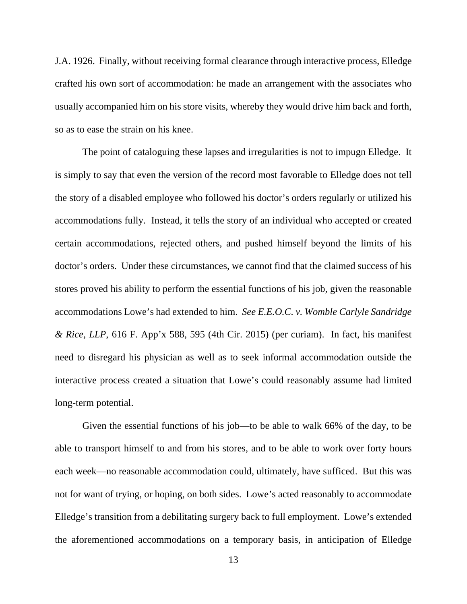J.A. 1926. Finally, without receiving formal clearance through interactive process, Elledge crafted his own sort of accommodation: he made an arrangement with the associates who usually accompanied him on his store visits, whereby they would drive him back and forth, so as to ease the strain on his knee.

The point of cataloguing these lapses and irregularities is not to impugn Elledge. It is simply to say that even the version of the record most favorable to Elledge does not tell the story of a disabled employee who followed his doctor's orders regularly or utilized his accommodations fully. Instead, it tells the story of an individual who accepted or created certain accommodations, rejected others, and pushed himself beyond the limits of his doctor's orders. Under these circumstances, we cannot find that the claimed success of his stores proved his ability to perform the essential functions of his job, given the reasonable accommodations Lowe's had extended to him. *See E.E.O.C. v. Womble Carlyle Sandridge & Rice, LLP*, 616 F. App'x 588, 595 (4th Cir. 2015) (per curiam). In fact, his manifest need to disregard his physician as well as to seek informal accommodation outside the interactive process created a situation that Lowe's could reasonably assume had limited long-term potential.

Given the essential functions of his job—to be able to walk 66% of the day, to be able to transport himself to and from his stores, and to be able to work over forty hours each week—no reasonable accommodation could, ultimately, have sufficed. But this was not for want of trying, or hoping, on both sides. Lowe's acted reasonably to accommodate Elledge's transition from a debilitating surgery back to full employment. Lowe's extended the aforementioned accommodations on a temporary basis, in anticipation of Elledge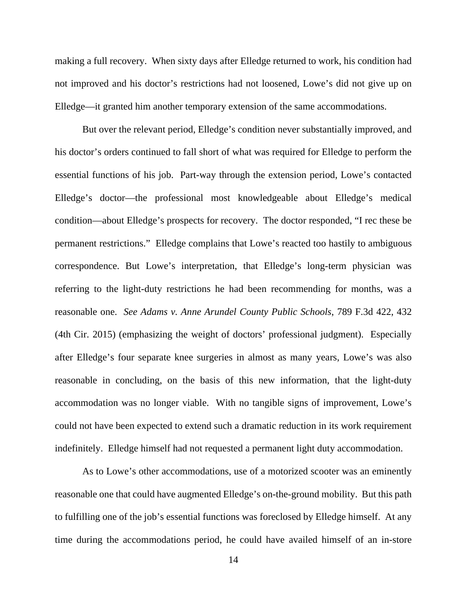making a full recovery. When sixty days after Elledge returned to work, his condition had not improved and his doctor's restrictions had not loosened, Lowe's did not give up on Elledge—it granted him another temporary extension of the same accommodations.

But over the relevant period, Elledge's condition never substantially improved, and his doctor's orders continued to fall short of what was required for Elledge to perform the essential functions of his job. Part-way through the extension period, Lowe's contacted Elledge's doctor—the professional most knowledgeable about Elledge's medical condition—about Elledge's prospects for recovery. The doctor responded, "I rec these be permanent restrictions." Elledge complains that Lowe's reacted too hastily to ambiguous correspondence. But Lowe's interpretation, that Elledge's long-term physician was referring to the light-duty restrictions he had been recommending for months, was a reasonable one. *See Adams v. Anne Arundel County Public Schools*, 789 F.3d 422, 432 (4th Cir. 2015) (emphasizing the weight of doctors' professional judgment). Especially after Elledge's four separate knee surgeries in almost as many years, Lowe's was also reasonable in concluding, on the basis of this new information, that the light-duty accommodation was no longer viable. With no tangible signs of improvement, Lowe's could not have been expected to extend such a dramatic reduction in its work requirement indefinitely. Elledge himself had not requested a permanent light duty accommodation.

As to Lowe's other accommodations, use of a motorized scooter was an eminently reasonable one that could have augmented Elledge's on-the-ground mobility. But this path to fulfilling one of the job's essential functions was foreclosed by Elledge himself. At any time during the accommodations period, he could have availed himself of an in-store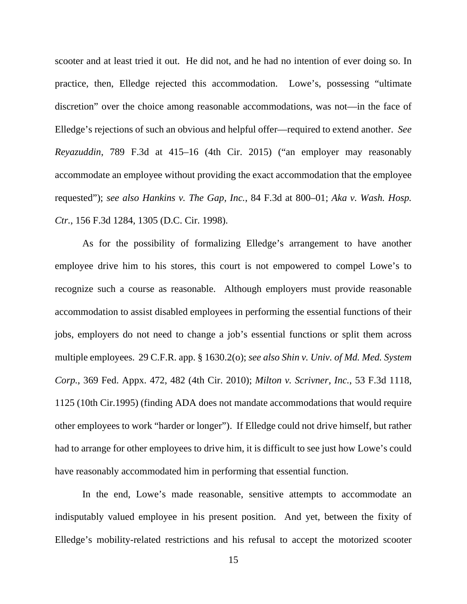scooter and at least tried it out. He did not, and he had no intention of ever doing so. In practice, then, Elledge rejected this accommodation. Lowe's, possessing "ultimate discretion" over the choice among reasonable accommodations, was not—in the face of Elledge's rejections of such an obvious and helpful offer—required to extend another. *See Reyazuddin*, 789 F.3d at 415–16 (4th Cir. 2015) ("an employer may reasonably accommodate an employee without providing the exact accommodation that the employee requested"); *see also Hankins v. The Gap, Inc.*, 84 F.3d at 800–01; *Aka v. Wash. Hosp. Ctr.*, 156 F.3d 1284, 1305 (D.C. Cir. 1998).

As for the possibility of formalizing Elledge's arrangement to have another employee drive him to his stores, this court is not empowered to compel Lowe's to recognize such a course as reasonable. Although employers must provide reasonable accommodation to assist disabled employees in performing the essential functions of their jobs, employers do not need to change a job's essential functions or split them across multiple employees. 29 C.F.R. app. § 1630.2(o); *see also Shin v. Univ. of Md. Med. System Corp.*, 369 Fed. Appx. 472, 482 (4th Cir. 2010); *Milton v. Scrivner, Inc.*, 53 F.3d 1118, 1125 (10th Cir.1995) (finding ADA does not mandate accommodations that would require other employees to work "harder or longer"). If Elledge could not drive himself, but rather had to arrange for other employees to drive him, it is difficult to see just how Lowe's could have reasonably accommodated him in performing that essential function.

In the end, Lowe's made reasonable, sensitive attempts to accommodate an indisputably valued employee in his present position. And yet, between the fixity of Elledge's mobility-related restrictions and his refusal to accept the motorized scooter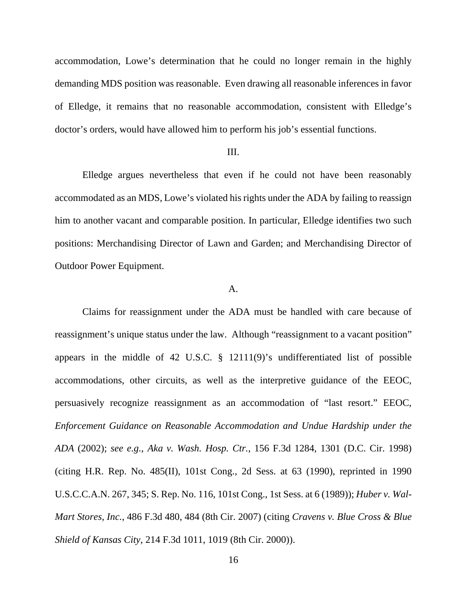accommodation, Lowe's determination that he could no longer remain in the highly demanding MDS position was reasonable. Even drawing all reasonable inferences in favor of Elledge, it remains that no reasonable accommodation, consistent with Elledge's doctor's orders, would have allowed him to perform his job's essential functions.

## III.

Elledge argues nevertheless that even if he could not have been reasonably accommodated as an MDS, Lowe's violated his rights under the ADA by failing to reassign him to another vacant and comparable position. In particular, Elledge identifies two such positions: Merchandising Director of Lawn and Garden; and Merchandising Director of Outdoor Power Equipment.

### A.

Claims for reassignment under the ADA must be handled with care because of reassignment's unique status under the law. Although "reassignment to a vacant position" appears in the middle of 42 U.S.C. § 12111(9)'s undifferentiated list of possible accommodations, other circuits, as well as the interpretive guidance of the EEOC, persuasively recognize reassignment as an accommodation of "last resort." EEOC, *Enforcement Guidance on Reasonable Accommodation and Undue Hardship under the ADA* (2002); *see e.g.*, *Aka v. Wash. Hosp. Ctr.*, 156 F.3d 1284, 1301 (D.C. Cir. 1998) (citing H.R. Rep. No. 485(II), 101st Cong., 2d Sess. at 63 (1990), reprinted in 1990 U.S.C.C.A.N. 267, 345; S. Rep. No. 116, 101st Cong., 1st Sess. at 6 (1989)); *Huber v. Wal-Mart Stores, Inc.*, 486 F.3d 480, 484 (8th Cir. 2007) (citing *Cravens v. Blue Cross & Blue Shield of Kansas City*, 214 F.3d 1011, 1019 (8th Cir. 2000)).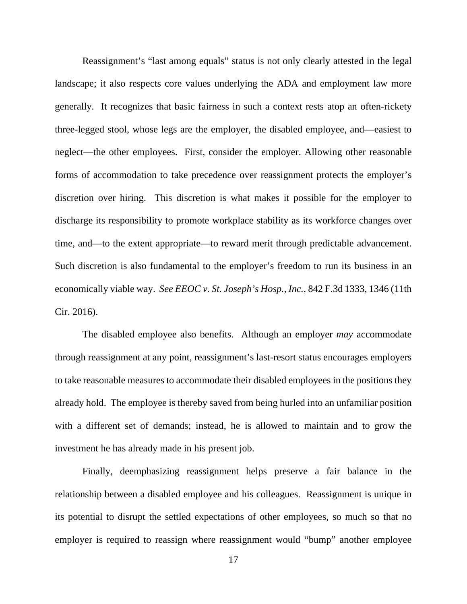Reassignment's "last among equals" status is not only clearly attested in the legal landscape; it also respects core values underlying the ADA and employment law more generally. It recognizes that basic fairness in such a context rests atop an often-rickety three-legged stool, whose legs are the employer, the disabled employee, and—easiest to neglect—the other employees. First, consider the employer. Allowing other reasonable forms of accommodation to take precedence over reassignment protects the employer's discretion over hiring. This discretion is what makes it possible for the employer to discharge its responsibility to promote workplace stability as its workforce changes over time, and—to the extent appropriate—to reward merit through predictable advancement. Such discretion is also fundamental to the employer's freedom to run its business in an economically viable way. *See EEOC v. St. Joseph's Hosp., Inc.*, 842 F.3d 1333, 1346 (11th Cir. 2016).

The disabled employee also benefits. Although an employer *may* accommodate through reassignment at any point, reassignment's last-resort status encourages employers to take reasonable measures to accommodate their disabled employees in the positions they already hold. The employee is thereby saved from being hurled into an unfamiliar position with a different set of demands; instead, he is allowed to maintain and to grow the investment he has already made in his present job.

Finally, deemphasizing reassignment helps preserve a fair balance in the relationship between a disabled employee and his colleagues. Reassignment is unique in its potential to disrupt the settled expectations of other employees, so much so that no employer is required to reassign where reassignment would "bump" another employee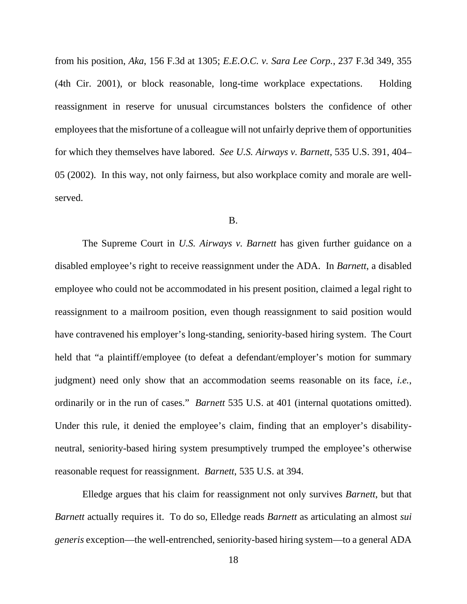from his position, *Aka*, 156 F.3d at 1305; *E.E.O.C. v. Sara Lee Corp.*, 237 F.3d 349, 355 (4th Cir. 2001), or block reasonable, long-time workplace expectations. Holding reassignment in reserve for unusual circumstances bolsters the confidence of other employees that the misfortune of a colleague will not unfairly deprive them of opportunities for which they themselves have labored. *See U.S. Airways v. Barnett*, 535 U.S. 391, 404– 05 (2002). In this way, not only fairness, but also workplace comity and morale are wellserved.

#### B.

The Supreme Court in *U.S. Airways v. Barnett* has given further guidance on a disabled employee's right to receive reassignment under the ADA. In *Barnett*, a disabled employee who could not be accommodated in his present position, claimed a legal right to reassignment to a mailroom position, even though reassignment to said position would have contravened his employer's long-standing, seniority-based hiring system. The Court held that "a plaintiff/employee (to defeat a defendant/employer's motion for summary judgment) need only show that an accommodation seems reasonable on its face, *i.e.*, ordinarily or in the run of cases." *Barnett* 535 U.S. at 401 (internal quotations omitted). Under this rule, it denied the employee's claim, finding that an employer's disabilityneutral, seniority-based hiring system presumptively trumped the employee's otherwise reasonable request for reassignment. *Barnett*, 535 U.S. at 394.

Elledge argues that his claim for reassignment not only survives *Barnett*, but that *Barnett* actually requires it. To do so, Elledge reads *Barnett* as articulating an almost *sui generis* exception—the well-entrenched, seniority-based hiring system—to a general ADA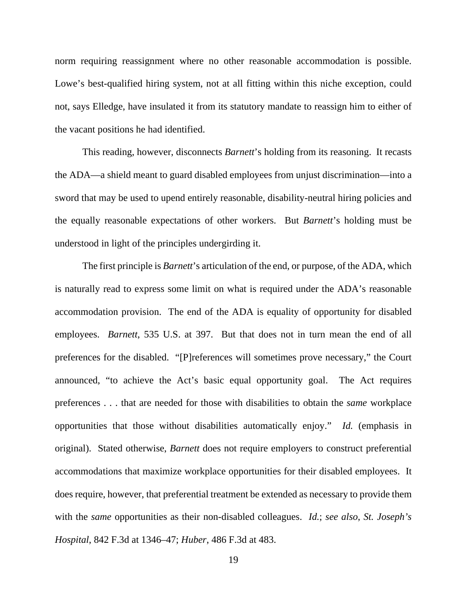norm requiring reassignment where no other reasonable accommodation is possible. Lowe's best-qualified hiring system, not at all fitting within this niche exception, could not, says Elledge, have insulated it from its statutory mandate to reassign him to either of the vacant positions he had identified.

This reading, however, disconnects *Barnett*'s holding from its reasoning. It recasts the ADA—a shield meant to guard disabled employees from unjust discrimination—into a sword that may be used to upend entirely reasonable, disability-neutral hiring policies and the equally reasonable expectations of other workers. But *Barnett*'s holding must be understood in light of the principles undergirding it.

The first principle is *Barnett*'s articulation of the end, or purpose, of the ADA, which is naturally read to express some limit on what is required under the ADA's reasonable accommodation provision. The end of the ADA is equality of opportunity for disabled employees. *Barnett*, 535 U.S. at 397. But that does not in turn mean the end of all preferences for the disabled. "[P]references will sometimes prove necessary," the Court announced, "to achieve the Act's basic equal opportunity goal. The Act requires preferences . . . that are needed for those with disabilities to obtain the *same* workplace opportunities that those without disabilities automatically enjoy." *Id.* (emphasis in original). Stated otherwise, *Barnett* does not require employers to construct preferential accommodations that maximize workplace opportunities for their disabled employees. It does require, however, that preferential treatment be extended as necessary to provide them with the *same* opportunities as their non-disabled colleagues. *Id.*; *see also*, *St. Joseph's Hospital*, 842 F.3d at 1346–47; *Huber*, 486 F.3d at 483.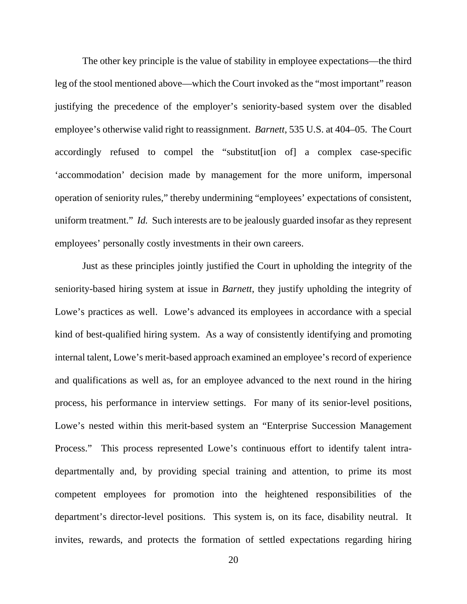The other key principle is the value of stability in employee expectations—the third leg of the stool mentioned above—which the Court invoked as the "most important" reason justifying the precedence of the employer's seniority-based system over the disabled employee's otherwise valid right to reassignment. *Barnett*, 535 U.S. at 404–05. The Court accordingly refused to compel the "substitut[ion of] a complex case-specific 'accommodation' decision made by management for the more uniform, impersonal operation of seniority rules," thereby undermining "employees' expectations of consistent, uniform treatment." *Id.* Such interests are to be jealously guarded insofar as they represent employees' personally costly investments in their own careers.

Just as these principles jointly justified the Court in upholding the integrity of the seniority-based hiring system at issue in *Barnett*, they justify upholding the integrity of Lowe's practices as well. Lowe's advanced its employees in accordance with a special kind of best-qualified hiring system. As a way of consistently identifying and promoting internal talent, Lowe's merit-based approach examined an employee's record of experience and qualifications as well as, for an employee advanced to the next round in the hiring process, his performance in interview settings. For many of its senior-level positions, Lowe's nested within this merit-based system an "Enterprise Succession Management Process." This process represented Lowe's continuous effort to identify talent intradepartmentally and, by providing special training and attention, to prime its most competent employees for promotion into the heightened responsibilities of the department's director-level positions. This system is, on its face, disability neutral. It invites, rewards, and protects the formation of settled expectations regarding hiring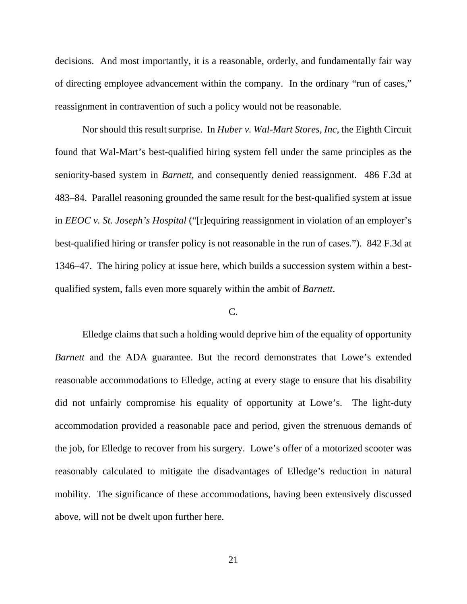decisions. And most importantly, it is a reasonable, orderly, and fundamentally fair way of directing employee advancement within the company. In the ordinary "run of cases," reassignment in contravention of such a policy would not be reasonable.

Nor should this result surprise. In *Huber v. Wal-Mart Stores, Inc*, the Eighth Circuit found that Wal-Mart's best-qualified hiring system fell under the same principles as the seniority-based system in *Barnett*, and consequently denied reassignment. 486 F.3d at 483–84. Parallel reasoning grounded the same result for the best-qualified system at issue in *EEOC v. St. Joseph's Hospital* ("[r]equiring reassignment in violation of an employer's best-qualified hiring or transfer policy is not reasonable in the run of cases."). 842 F.3d at 1346–47. The hiring policy at issue here, which builds a succession system within a bestqualified system, falls even more squarely within the ambit of *Barnett*.

## C.

Elledge claims that such a holding would deprive him of the equality of opportunity *Barnett* and the ADA guarantee. But the record demonstrates that Lowe's extended reasonable accommodations to Elledge, acting at every stage to ensure that his disability did not unfairly compromise his equality of opportunity at Lowe's. The light-duty accommodation provided a reasonable pace and period, given the strenuous demands of the job, for Elledge to recover from his surgery. Lowe's offer of a motorized scooter was reasonably calculated to mitigate the disadvantages of Elledge's reduction in natural mobility. The significance of these accommodations, having been extensively discussed above, will not be dwelt upon further here.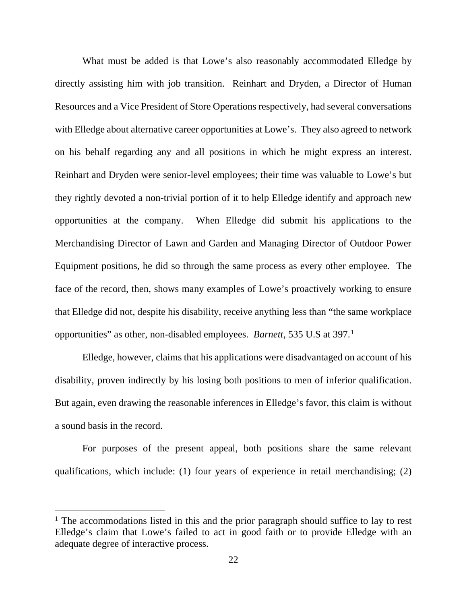What must be added is that Lowe's also reasonably accommodated Elledge by directly assisting him with job transition. Reinhart and Dryden, a Director of Human Resources and a Vice President of Store Operations respectively, had several conversations with Elledge about alternative career opportunities at Lowe's. They also agreed to network on his behalf regarding any and all positions in which he might express an interest. Reinhart and Dryden were senior-level employees; their time was valuable to Lowe's but they rightly devoted a non-trivial portion of it to help Elledge identify and approach new opportunities at the company. When Elledge did submit his applications to the Merchandising Director of Lawn and Garden and Managing Director of Outdoor Power Equipment positions, he did so through the same process as every other employee. The face of the record, then, shows many examples of Lowe's proactively working to ensure that Elledge did not, despite his disability, receive anything less than "the same workplace opportunities" as other, non-disabled employees. *Barnett*, 535 U.S at 397.[1](#page-21-0)

Elledge, however, claims that his applications were disadvantaged on account of his disability, proven indirectly by his losing both positions to men of inferior qualification. But again, even drawing the reasonable inferences in Elledge's favor, this claim is without a sound basis in the record.

For purposes of the present appeal, both positions share the same relevant qualifications, which include: (1) four years of experience in retail merchandising; (2)

<span id="page-21-0"></span> $1$  The accommodations listed in this and the prior paragraph should suffice to lay to rest Elledge's claim that Lowe's failed to act in good faith or to provide Elledge with an adequate degree of interactive process.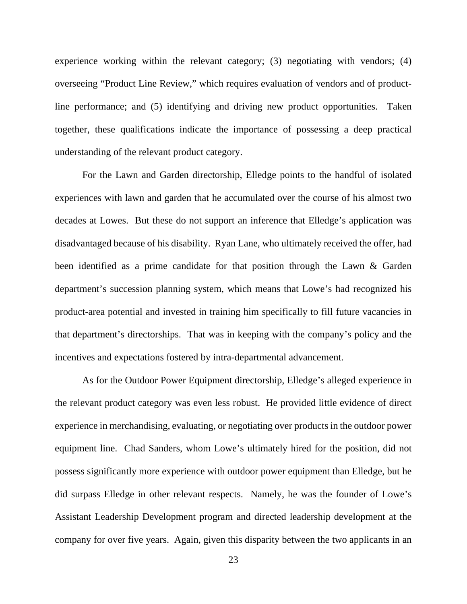experience working within the relevant category; (3) negotiating with vendors; (4) overseeing "Product Line Review," which requires evaluation of vendors and of productline performance; and (5) identifying and driving new product opportunities. Taken together, these qualifications indicate the importance of possessing a deep practical understanding of the relevant product category.

For the Lawn and Garden directorship, Elledge points to the handful of isolated experiences with lawn and garden that he accumulated over the course of his almost two decades at Lowes. But these do not support an inference that Elledge's application was disadvantaged because of his disability. Ryan Lane, who ultimately received the offer, had been identified as a prime candidate for that position through the Lawn & Garden department's succession planning system, which means that Lowe's had recognized his product-area potential and invested in training him specifically to fill future vacancies in that department's directorships. That was in keeping with the company's policy and the incentives and expectations fostered by intra-departmental advancement.

As for the Outdoor Power Equipment directorship, Elledge's alleged experience in the relevant product category was even less robust. He provided little evidence of direct experience in merchandising, evaluating, or negotiating over products in the outdoor power equipment line. Chad Sanders, whom Lowe's ultimately hired for the position, did not possess significantly more experience with outdoor power equipment than Elledge, but he did surpass Elledge in other relevant respects. Namely, he was the founder of Lowe's Assistant Leadership Development program and directed leadership development at the company for over five years. Again, given this disparity between the two applicants in an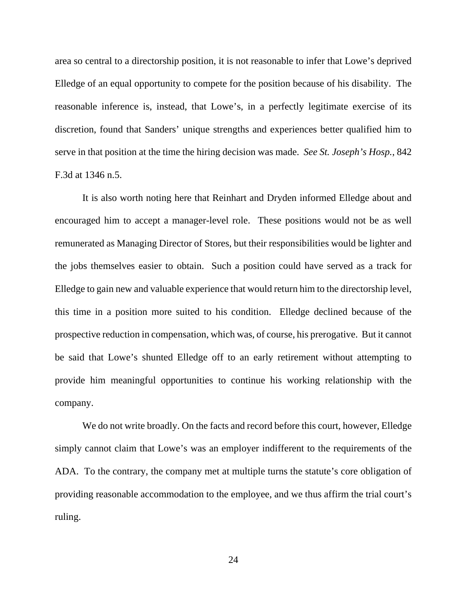area so central to a directorship position, it is not reasonable to infer that Lowe's deprived Elledge of an equal opportunity to compete for the position because of his disability. The reasonable inference is, instead, that Lowe's, in a perfectly legitimate exercise of its discretion, found that Sanders' unique strengths and experiences better qualified him to serve in that position at the time the hiring decision was made. *See St. Joseph's Hosp.*, 842 F.3d at 1346 n.5.

It is also worth noting here that Reinhart and Dryden informed Elledge about and encouraged him to accept a manager-level role. These positions would not be as well remunerated as Managing Director of Stores, but their responsibilities would be lighter and the jobs themselves easier to obtain. Such a position could have served as a track for Elledge to gain new and valuable experience that would return him to the directorship level, this time in a position more suited to his condition. Elledge declined because of the prospective reduction in compensation, which was, of course, his prerogative. But it cannot be said that Lowe's shunted Elledge off to an early retirement without attempting to provide him meaningful opportunities to continue his working relationship with the company.

We do not write broadly. On the facts and record before this court, however, Elledge simply cannot claim that Lowe's was an employer indifferent to the requirements of the ADA. To the contrary, the company met at multiple turns the statute's core obligation of providing reasonable accommodation to the employee, and we thus affirm the trial court's ruling.

24